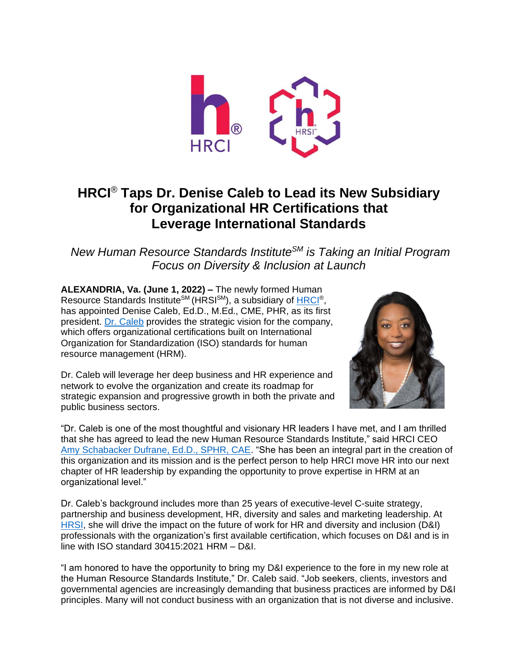

## **HRCI**® **Taps Dr. Denise Caleb to Lead its New Subsidiary for Organizational HR Certifications that Leverage International Standards**

*New Human Resource Standards InstituteSM is Taking an Initial Program Focus on Diversity & Inclusion at Launch*

**ALEXANDRIA, Va. (June 1, 2022) –** The newly formed Human Resource Standards Institute<sup>sм</sup> (HRSI<sup>sм</sup>), a subsidiary of <u>HRCI®,</u> has appointed Denise Caleb, Ed.D., M.Ed., CME, PHR, as its first president. Dr. [Caleb](https://www.linkedin.com/in/dr-denise-caleb) provides the strategic vision for the company, which offers organizational certifications built on International Organization for Standardization (ISO) standards for human resource management (HRM).

Dr. Caleb will leverage her deep business and HR experience and network to evolve the organization and create its roadmap for strategic expansion and progressive growth in both the private and public business sectors.



"Dr. Caleb is one of the most thoughtful and visionary HR leaders I have met, and I am thrilled that she has agreed to lead the new Human Resource Standards Institute," said HRCI CEO [Amy Schabacker Dufrane, Ed.D., SPHR, CAE.](https://www.linkedin.com/in/amydufrane) "She has been an integral part in the creation of this organization and its mission and is the perfect person to help HRCI move HR into our next chapter of HR leadership by expanding the opportunity to prove expertise in HRM at an organizational level."

Dr. Caleb's background includes more than 25 years of executive-level C-suite strategy, partnership and business development, HR, diversity and sales and marketing leadership. At [HRSI,](https://www.hrsi.org/) she will drive the impact on the future of work for HR and diversity and inclusion (D&I) professionals with the organization's first available certification, which focuses on D&I and is in line with ISO standard 30415:2021 HRM – D&I.

"I am honored to have the opportunity to bring my D&I experience to the fore in my new role at the Human Resource Standards Institute," Dr. Caleb said. "Job seekers, clients, investors and governmental agencies are increasingly demanding that business practices are informed by D&I principles. Many will not conduct business with an organization that is not diverse and inclusive.